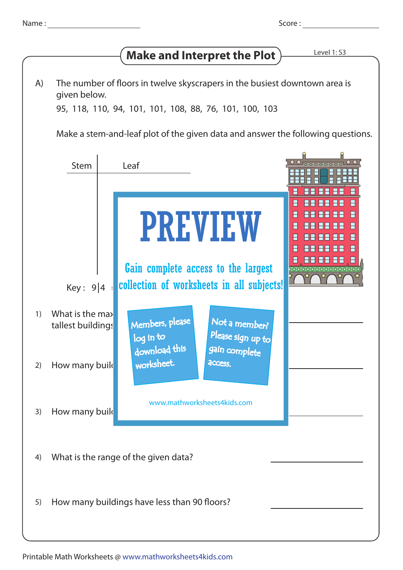| Name |  |
|------|--|
|      |  |
|      |  |

## **Make and Interpret the Plot**  $\overline{\phantom{a}}$  Level 1:53

The number of floors in twelve skyscrapers in the busiest downtown area is given below. A)

95, 118, 110, 94, 101, 101, 108, 88, 76, 101, 100, 103

Make a stem-and-leaf plot of the given data and answer the following questions.

|    | <b>Stem</b>                                  | Leaf                                                                                                    |  |
|----|----------------------------------------------|---------------------------------------------------------------------------------------------------------|--|
|    |                                              | A<br><b>PREVIEW</b><br>FF<br><u>, Be ee e</u><br>Gain complete access to the largest<br>000000000000000 |  |
|    | Key: $9 4$                                   | collection of worksheets in all subjects!                                                               |  |
| 1) | What is the max<br>tallest buildings         | Members, please<br>Not a member?<br>Please sign up to<br>log in to                                      |  |
| 2) | How many buile                               | download this<br>gain complete<br>worksheet.<br><b>ACCESS.</b>                                          |  |
| 3) | How many build                               | www.mathworksheets4kids.com                                                                             |  |
| 4) | What is the range of the given data?         |                                                                                                         |  |
| 5) | How many buildings have less than 90 floors? |                                                                                                         |  |